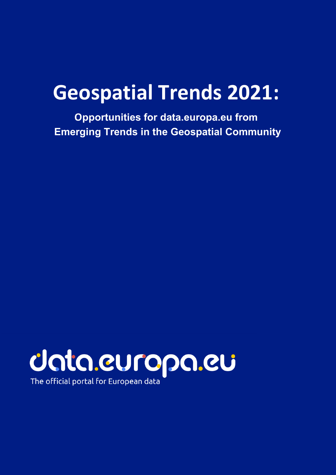# **Geospatial Trends 2021:**

**Opportunities for data.europa.eu from Emerging Trends in the Geospatial Community** 



The official portal for European data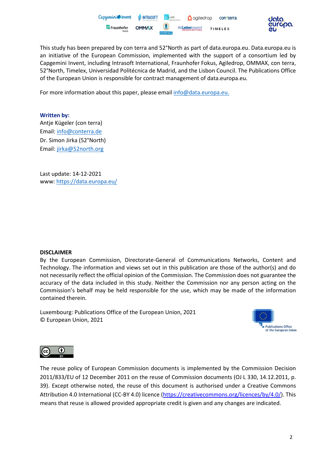



This study has been prepared by con terra and 52°North as part of data.europa.eu. Data.europa.eu is an initiative of the European Commission, implemented with the support of a consortium led by Capgemini Invent, including Intrasoft International, Fraunhofer Fokus, Agiledrop, OMMAX, con terra, 52°North, Timelex, Universidad Politécnica de Madrid, and the Lisbon Council. The Publications Office of the European Union is responsible for contract management of data.europa.eu.

For more information about this paper, please email info@data.europa.eu.

#### **Written by:**

Antje Kügeler (con terra) Email: [info@conterra.de](mailto:info@conterra.de) Dr. Simon Jirka (52°North) Email: [jirka@52north.org](mailto:jirka@52north.org)

Last update: 14-12-2021 www: <https://data.europa.eu/>

#### **DISCLAIMER**

By the European Commission, Directorate-General of Communications Networks, Content and Technology. The information and views set out in this publication are those of the author(s) and do not necessarily reflect the official opinion of the Commission. The Commission does not guarantee the accuracy of the data included in this study. Neither the Commission nor any person acting on the Commission's behalf may be held responsible for the use, which may be made of the information contained therein.

Luxembourg: Publications Office of the European Union, 2021 © European Union, 2021





The reuse policy of European Commission documents is implemented by the Commission Decision 2011/833/EU of 12 December 2011 on the reuse of Commission documents (OJ L 330, 14.12.2011, p. 39). Except otherwise noted, the reuse of this document is authorised under a Creative Commons Attribution 4.0 International (CC-BY 4.0) licence [\(https://creativecommons.org/licences/by/4.0/\)](https://creativecommons.org/licenses/by/4.0/). This means that reuse is allowed provided appropriate credit is given and any changes are indicated.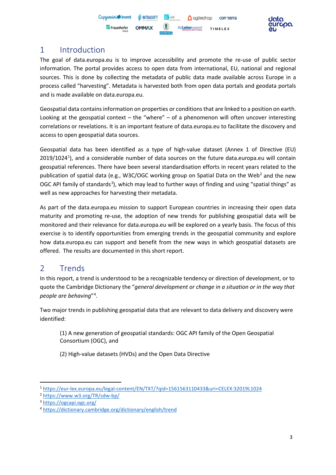

## 1 Introduction

The goal of data.europa.eu is to improve accessibility and promote the re-use of public sector information. The portal provides access to open data from international, EU, national and regional sources. This is done by collecting the metadata of public data made available across Europe in a process called "harvesting". Metadata is harvested both from open data portals and geodata portals and is made available on data.europa.eu.

Geospatial data contains information on properties or conditions that are linked to a position on earth. Looking at the geospatial context – the "where" – of a phenomenon will often uncover interesting correlations or revelations. It is an important feature of data.europa.eu to facilitate the discovery and access to open geospatial data sources.

Geospatial data has been identified as a type of high-value dataset (Annex 1 of Directive (EU) 20[1](#page-2-0)9/1024<sup>1</sup>), and a considerable number of data sources on the future data.europa.eu will contain geospatial references. There have been several standardisation efforts in recent years related to the publication of spatial data (e.g., W3C/OGC working group on Spatial Data on the Web<sup>[2](#page-2-1)</sup> and the new OGC API family of standards<sup>[3](#page-2-2)</sup>), which may lead to further ways of finding and using "spatial things" as well as new approaches for harvesting their metadata.

As part of the data.europa.eu mission to support European countries in increasing their open data maturity and promoting re-use, the adoption of new trends for publishing geospatial data will be monitored and their relevance for data.europa.eu will be explored on a yearly basis. The focus of this exercise is to identify opportunities from emerging trends in the geospatial community and explore how data.europa.eu can support and benefit from the new ways in which geospatial datasets are offered. The results are documented in this short report.

#### 2 Trends

In this report, a trend is understood to be a recognizable tendency or direction of development, or to quote the Cambridge Dictionary the "*general development or change in a situation or in the way that people are behaving*"[4](#page-2-3) .

Two major trends in publishing geospatial data that are relevant to data delivery and discovery were identified:

(1) A new generation of geospatial standards: OGC API family of the Open Geospatial Consortium (OGC), and

(2) High-value datasets (HVDs) and the Open Data Directive

<span id="page-2-0"></span><sup>1</sup> <https://eur-lex.europa.eu/legal-content/EN/TXT/?qid=1561563110433&uri=CELEX:32019L1024>

<span id="page-2-1"></span><sup>2</sup> <https://www.w3.org/TR/sdw-bp/>

<span id="page-2-2"></span><sup>3</sup> <https://ogcapi.ogc.org/>

<span id="page-2-3"></span><sup>4</sup> <https://dictionary.cambridge.org/dictionary/english/trend>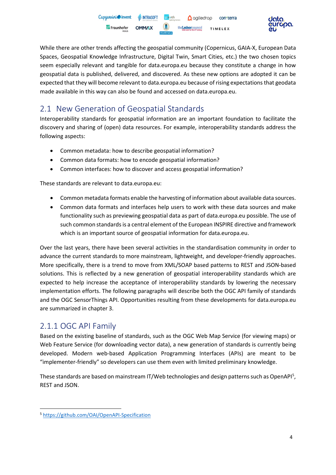

While there are other trends affecting the geospatial community (Copernicus, GAIA-X, European Data Spaces, Geospatial Knowledge Infrastructure, Digital Twin, Smart Cities, etc.) the two chosen topics seem especially relevant and tangible for data.europa.eu because they constitute a change in how geospatial data is published, delivered, and discovered. As these new options are adopted it can be expected that they will become relevant to data.europa.eu because of rising expectations that geodata made available in this way can also be found and accessed on data.europa.eu.

# 2.1 New Generation of Geospatial Standards

Interoperability standards for geospatial information are an important foundation to facilitate the discovery and sharing of (open) data resources. For example, interoperability standards address the following aspects:

- Common metadata: how to describe geospatial information?
- Common data formats: how to encode geospatial information?
- Common interfaces: how to discover and access geospatial information?

These standards are relevant to data.europa.eu:

- Common metadata formats enable the harvesting of information about available data sources.
- Common data formats and interfaces help users to work with these data sources and make functionality such as previewing geospatial data as part of data.europa.eu possible. The use of such common standards is a central element of the European INSPIRE directive and framework which is an important source of geospatial information for data.europa.eu.

Over the last years, there have been several activities in the standardisation community in order to advance the current standards to more mainstream, lightweight, and developer-friendly approaches. More specifically, there is a trend to move from XML/SOAP based patterns to REST and JSON-based solutions. This is reflected by a new generation of geospatial interoperability standards which are expected to help increase the acceptance of interoperability standards by lowering the necessary implementation efforts. The following paragraphs will describe both the OGC API family of standards and the OGC SensorThings API. Opportunities resulting from these developments for data.europa.eu are summarized in chapter [3.](#page-10-0)

# 2.1.1 OGC API Family

Based on the existing baseline of standards, such as the OGC Web Map Service (for viewing maps) or Web Feature Service (for downloading vector data), a new generation of standards is currently being developed. Modern web-based Application Programming Interfaces (APIs) are meant to be "implementer-friendly" so developers can use them even with limited preliminary knowledge.

These standards are based on mainstream IT/Web technologies and design patterns such as OpenAPI<sup>[5](#page-3-0)</sup>, REST and JSON.

<span id="page-3-0"></span><sup>5</sup> <https://github.com/OAI/OpenAPI-Specification>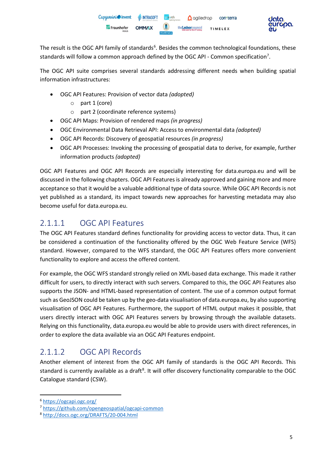

The result is the OGC API family of standards<sup>[6](#page-4-0)</sup>. Besides the common technological foundations, these standards will follow a common approach defined by the OGC API - Common specification<sup>[7](#page-4-1)</sup>.

The OGC API suite comprises several standards addressing different needs when building spatial information infrastructures:

- OGC API Features: Provision of vector data *(adopted)*
	- o part 1 (core)
	- o part 2 (coordinate reference systems)
- OGC API Maps: Provision of rendered maps *(in progress)*
- OGC Environmental Data Retrieval API: Access to environmental data *(adopted)*
- OGC API Records: Discovery of geospatial resources *(in progress)*
- OGC API Processes: Invoking the processing of geospatial data to derive, for example, further information products *(adopted)*

OGC API Features and OGC API Records are especially interesting for data.europa.eu and will be discussed in the following chapters. OGC API Features is already approved and gaining more and more acceptance so that it would be a valuable additional type of data source. While OGC API Records is not yet published as a standard, its impact towards new approaches for harvesting metadata may also become useful for data.europa.eu.

## 2.1.1.1 OGC API Features

The OGC API Features standard defines functionality for providing access to vector data. Thus, it can be considered a continuation of the functionality offered by the OGC Web Feature Service (WFS) standard. However, compared to the WFS standard, the OGC API Features offers more convenient functionality to explore and access the offered content.

For example, the OGC WFS standard strongly relied on XML-based data exchange. This made it rather difficult for users, to directly interact with such servers. Compared to this, the OGC API Features also supports the JSON- and HTML-based representation of content. The use of a common output format such as GeoJSON could be taken up by the geo-data visualisation of data.europa.eu, by also supporting visualisation of OGC API Features. Furthermore, the support of HTML output makes it possible, that users directly interact with OGC API Features servers by browsing through the available datasets. Relying on this functionality, data.europa.eu would be able to provide users with direct references, in order to explore the data available via an OGC API Features endpoint.

# 2.1.1.2 OGC API Records

Another element of interest from the OGC API family of standards is the OGC API Records. This standard is currently available as a draft<sup>[8](#page-4-2)</sup>. It will offer discovery functionality comparable to the OGC Catalogue standard (CSW).

<span id="page-4-0"></span><sup>6</sup> <https://ogcapi.ogc.org/>

<span id="page-4-1"></span><sup>7</sup> <https://github.com/opengeospatial/ogcapi-common>

<span id="page-4-2"></span><sup>8</sup> <http://docs.ogc.org/DRAFTS/20-004.html>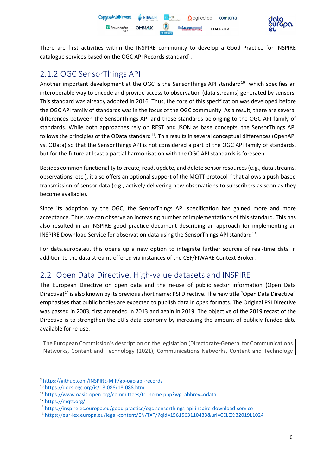

There are first activities within the INSPIRE community to develop a Good Practice for INSPIRE catalogue services based on the OGC API Records standard<sup>[9](#page-5-0)</sup>.

# 2.1.2 OGC SensorThings API

Another important development at the OGC is the SensorThings API standard<sup>[10](#page-5-1)</sup> which specifies an interoperable way to encode and provide access to observation (data streams) generated by sensors. This standard was already adopted in 2016. Thus, the core of this specification was developed before the OGC API family of standards was in the focus of the OGC community. As a result, there are several differences between the SensorThings API and those standards belonging to the OGC API family of standards. While both approaches rely on REST and JSON as base concepts, the SensorThings API follows the principles of the OData standard<sup>11</sup>. This results in several conceptual differences (OpenAPI) vs. OData) so that the SensorThings API is not considered a part of the OGC API family of standards, but for the future at least a partial harmonisation with the OGC API standards is foreseen.

Besides common functionality to create, read, update, and delete sensor resources (e.g., data streams, observations, etc.), it also offers an optional support of the MQTT protocol<sup>[12](#page-5-3)</sup> that allows a push-based transmission of sensor data (e.g., actively delivering new observations to subscribers as soon as they become available).

Since its adoption by the OGC, the SensorThings API specification has gained more and more acceptance. Thus, we can observe an increasing number of implementations of this standard. This has also resulted in an INSPIRE good practice document describing an approach for implementing an INSPIRE Download Service for observation data using the SensorThings API standard[13.](#page-5-4)

For data.europa.eu, this opens up a new option to integrate further sources of real-time data in addition to the data streams offered via instances of the CEF/FIWARE Context Broker.

## 2.2 Open Data Directive, High-value datasets and INSPIRE

The European Directive on open data and the re-use of public sector information (Open Data Directive)<sup>[14](#page-5-5)</sup> is also known by its previous short name: PSI Directive. The new title "Open Data Directive" emphasises that public bodies are expected to publish data in *open* formats. The Original PSI Directive was passed in 2003, first amended in 2013 and again in 2019. The objective of the 2019 recast of the Directive is to strengthen the EU's data-economy by increasing the amount of publicly funded data available for re-use.

The European Commission's description on the legislation (Directorate-General for Communications Networks, Content and Technology (2021), Communications Networks, Content and Technology

<span id="page-5-0"></span><sup>9</sup> <https://github.com/INSPIRE-MIF/gp-ogc-api-records>

<span id="page-5-1"></span><sup>10</sup> <https://docs.ogc.org/is/18-088/18-088.html>

<span id="page-5-2"></span><sup>11</sup> [https://www.oasis-open.org/committees/tc\\_home.php?wg\\_abbrev=odata](https://www.oasis-open.org/committees/tc_home.php?wg_abbrev=odata)

<span id="page-5-3"></span><sup>12</sup> <https://mqtt.org/>

<span id="page-5-4"></span><sup>13</sup> <https://inspire.ec.europa.eu/good-practice/ogc-sensorthings-api-inspire-download-service>

<span id="page-5-5"></span><sup>14</sup> <https://eur-lex.europa.eu/legal-content/EN/TXT/?qid=1561563110433&uri=CELEX:32019L1024>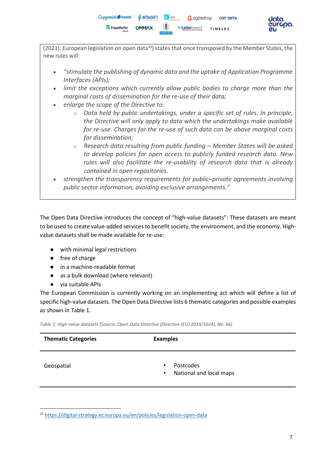

(2021): European legislation on open data<sup>[15](#page-6-1)</sup>) states that once transposed by the Member States, the new rules will:

- *"stimulate the publishing of dynamic data and the uptake of Application Programme Interfaces (APIs);*
- limit the exceptions which currently allow public bodies to charge more than the *marginal costs of dissemination for the re-use of their data;*
- *enlarge the scope of the Directive to:*
	- o *Data held by public undertakings, under a specific set of rules. In principle, the Directive will only apply to data which the undertakings make available for re-use. Charges for the re-use of such data can be above marginal costs for dissemination;*
	- o *Research data resulting from public funding – Member States will be asked to develop policies for open access to publicly funded research data. New rules will also facilitate the re-usability of research data that is already contained in open repositories.*
- *strengthen the transparency requirements for public–private agreements involving public sector information, avoiding exclusive arrangements."*

The Open Data Directive introduces the concept of "high-value datasets": These datasets are meant to be used to create value-added services to benefit society, the environment, and the economy. Highvalue datasets shall be made available for re-use:

- with minimal legal restrictions
- free of charge
- in a machine-readable format
- as a bulk download (where relevant)
- via suitable APIs

The European Commission is currently working on an implementing act which will define a list of specific high-value datasets. The Open Data Directive lists 6 thematic categories and possible examples as shown i[n Table 1.](#page-6-0)

<span id="page-6-0"></span>*Table 1: High-value datasets (Source: Open Data Directive (Directive (EU) 2019/1024), No. 66)*

| <b>Thematic Categories</b> | <b>Examples</b>                                                |  |  |  |
|----------------------------|----------------------------------------------------------------|--|--|--|
| Geospatial                 | Postcodes<br>$\bullet$<br>National and local maps<br>$\bullet$ |  |  |  |

<span id="page-6-1"></span><sup>15</sup> <https://digital-strategy.ec.europa.eu/en/policies/legislation-open-data>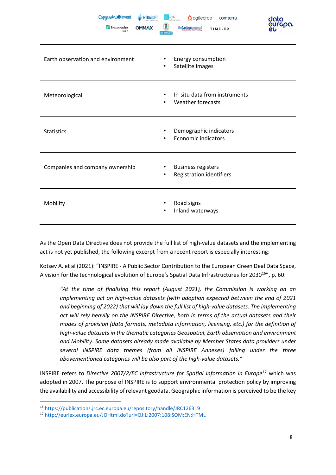| Capgemini invent<br><b>II</b> I <sub>I</sub> INTRASOFT<br>Fraunhofer<br><b>OMM/XX</b> | 52north<br>$\Omega$ agiledrop<br>con·terra<br>the Lisborcouncil<br>TIMELEX<br><b>POLITÉCNICA</b> | data.<br>cricoba.<br>CLi |
|---------------------------------------------------------------------------------------|--------------------------------------------------------------------------------------------------|--------------------------|
| Earth observation and environment                                                     | Energy consumption<br>Satellite images<br>٠                                                      |                          |
| Meteorological                                                                        | In-situ data from instruments<br>$\bullet$<br><b>Weather forecasts</b>                           |                          |
| <b>Statistics</b>                                                                     | Demographic indicators<br><b>Economic indicators</b>                                             |                          |
| Companies and company ownership                                                       | <b>Business registers</b><br>$\bullet$<br><b>Registration identifiers</b><br>٠                   |                          |
| Mobility                                                                              | Road signs<br>Inland waterways<br>٠                                                              |                          |

As the Open Data Directive does not provide the full list of high-value datasets and the implementing act is not yet published, the following excerpt from a recent report is especially interesting:

Kotsev A. et al (2021): "INSPIRE - A Public Sector Contribution to the European Green Deal Data Space, A vision for the technological evolution of Europe's Spatial Data Infrastructures for 2030<sup>[16](#page-7-0)</sup>", p. 60:

*"At the time of finalising this report (August 2021), the Commission is working on an implementing act on high-value datasets (with adoption expected between the end of 2021 and beginning of 2022) that will lay down the full list of high-value datasets. The implementing act will rely heavily on the INSPIRE Directive, both in terms of the actual datasets and their modes of provision (data formats, metadata information, licensing, etc.) for the definition of high-value datasets in the thematic categories Geospatial, Earth observation and environment and Mobility. Some datasets already made available by Member States data providers under several INSPIRE data themes (from all INSPIRE Annexes) falling under the three abovementioned categories will be also part of the high-value datasets."*

INSPIRE refers to *Directive 2007/2/EC Infrastructure for Spatial Information in Europe<sup>[17](#page-7-1)</sup> which was* adopted in 2007. The purpose of INSPIRE is to support environmental protection policy by improving the availability and accessibility of relevant geodata. Geographic information is perceived to be the key

<span id="page-7-0"></span><sup>16</sup> [https://publications.jrc.ec.europa.eu/repository/handle/JRC126319](https://eur04.safelinks.protection.outlook.com/?url=https%3A%2F%2Fpublications.jrc.ec.europa.eu%2Frepository%2Fhandle%2FJRC126319&data=04%7C01%7C%7C2c33125eef904ba6d0a008d9990ffd31%7C6e0bfede3fcb4518a16565dc14fe5620%7C0%7C0%7C637709116222263781%7CUnknown%7CTWFpbGZsb3d8eyJWIjoiMC4wLjAwMDAiLCJQIjoiV2luMzIiLCJBTiI6Ik1haWwiLCJXVCI6Mn0%3D%7C1000&sdata=XUPhJkAXEPFyNOmYzEs4RpdtxcfMzy%2BhqAVkL8pisgI%3D&reserved=0)

<span id="page-7-1"></span><sup>17</sup> <http://eurlex.europa.eu/JOHtml.do?uri=OJ:L:2007:108:SOM:EN:HTML>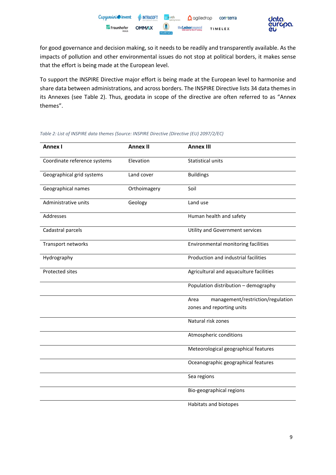

for good governance and decision making, so it needs to be readily and transparently available. As the impacts of pollution and other environmental issues do not stop at political borders, it makes sense that the effort is being made at the European level.

To support the INSPIRE Directive major effort is being made at the European level to harmonise and share data between administrations, and across borders. The INSPIRE Directive lists 34 data themes in its Annexes (see [Table 2\)](#page-8-0). Thus, geodata in scope of the directive are often referred to as "Annex themes".

| <b>Annex I</b>               | <b>Annex II</b> | <b>Annex III</b>                          |  |
|------------------------------|-----------------|-------------------------------------------|--|
| Coordinate reference systems | Elevation       | Statistical units                         |  |
| Geographical grid systems    | Land cover      | <b>Buildings</b>                          |  |
| Geographical names           | Orthoimagery    | Soil                                      |  |
| Administrative units         | Geology         | Land use                                  |  |
| Addresses                    |                 | Human health and safety                   |  |
| Cadastral parcels            |                 | Utility and Government services           |  |
| Transport networks           |                 | Environmental monitoring facilities       |  |
| Hydrography                  |                 | Production and industrial facilities      |  |
| <b>Protected sites</b>       |                 | Agricultural and aquaculture facilities   |  |
|                              |                 | Population distribution - demography      |  |
|                              |                 | management/restriction/regulation<br>Area |  |
|                              |                 | zones and reporting units                 |  |
|                              |                 | Natural risk zones                        |  |
|                              |                 | Atmospheric conditions                    |  |
|                              |                 | Meteorological geographical features      |  |
|                              |                 | Oceanographic geographical features       |  |
|                              |                 | Sea regions                               |  |
|                              |                 | Bio-geographical regions                  |  |
|                              |                 | Habitats and biotopes                     |  |

<span id="page-8-0"></span>*Table 2: List of INSPIRE data themes (Source: INSPIRE Directive (Directive (EU) 2097/2/EC)*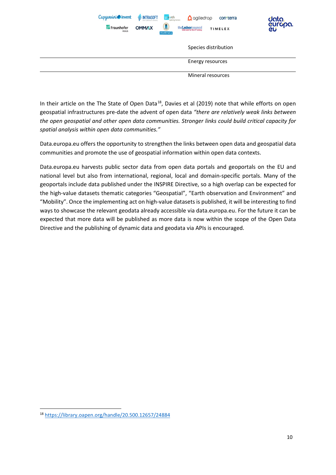| Capgemini invent           | <b>WINTRASOFT</b> | 52 north<br>$\Omega$ agiledrop                           | con <sub>terra</sub> | data.         |
|----------------------------|-------------------|----------------------------------------------------------|----------------------|---------------|
| Fraunhofer<br><b>FOKUS</b> | <b>OMM/XX</b>     | $\blacksquare$<br>the usboncouncil<br><b>POLITÉCNICA</b> | <b>TIMELEX</b>       | curopa.<br>CU |
|                            |                   |                                                          | Species distribution |               |
|                            |                   |                                                          | Energy resources     |               |
|                            |                   |                                                          | Mineral resources    |               |

In their article on the The State of Open Data<sup>[18](#page-9-0)</sup>, Davies et al (2019) note that while efforts on open geospatial infrastructures pre-date the advent of open data *"there are relatively weak links between the open geospatial and other open data communities. Stronger links could build critical capacity for spatial analysis within open data communities."*

Data.europa.eu offers the opportunity to strengthen the links between open data and geospatial data communities and promote the use of geospatial information within open data contexts.

Data.europa.eu harvests public sector data from open data portals and geoportals on the EU and national level but also from international, regional, local and domain-specific portals. Many of the geoportals include data published under the INSPIRE Directive, so a high overlap can be expected for the high-value datasets thematic categories "Geospatial", "Earth observation and Environment" and "Mobility". Once the implementing act on high-value datasets is published, it will be interesting to find ways to showcase the relevant geodata already accessible via data.europa.eu. For the future it can be expected that more data will be published as more data is now within the scope of the Open Data Directive and the publishing of dynamic data and geodata via APIs is encouraged.

<span id="page-9-0"></span><sup>18</sup> <https://library.oapen.org/handle/20.500.12657/24884>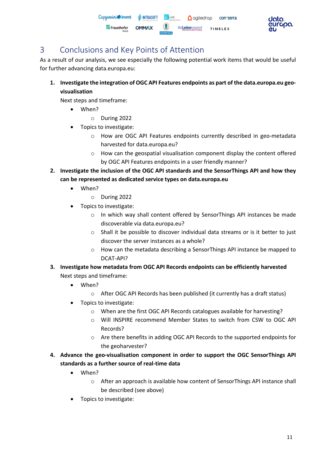



## <span id="page-10-0"></span>3 Conclusions and Key Points of Attention

As a result of our analysis, we see especially the following potential work items that would be useful for further advancing data.europa.eu:

**1. Investigate the integration of OGC API Features endpoints as part of the data.europa.eu geovisualisation**

Next steps and timeframe:

- When?
	- o During 2022
- Topics to investigate:
	- o How are OGC API Features endpoints currently described in geo-metadata harvested for data.europa.eu?
	- $\circ$  How can the geospatial visualisation component display the content offered by OGC API Features endpoints in a user friendly manner?
- **2. Investigate the inclusion of the OGC API standards and the SensorThings API and how they can be represented as dedicated service types on data.europa.eu**
	- When?
		- o During 2022
	- Topics to investigate:
		- o In which way shall content offered by SensorThings API instances be made discoverable via data.europa.eu?
		- $\circ$  Shall it be possible to discover individual data streams or is it better to just discover the server instances as a whole?
		- o How can the metadata describing a SensorThings API instance be mapped to DCAT-API?
- **3. Investigate how metadata from OGC API Records endpoints can be efficiently harvested** Next steps and timeframe:
	- When?
		- o After OGC API Records has been published (it currently has a draft status)
	- Topics to investigate:
		- o When are the first OGC API Records catalogues available for harvesting?
		- o Will INSPIRE recommend Member States to switch from CSW to OGC API Records?
		- o Are there benefits in adding OGC API Records to the supported endpoints for the geoharvester?
- **4. Advance the geo-visualisation component in order to support the OGC SensorThings API standards as a further source of real-time data**
	- When?
		- o After an approach is available how content of SensorThings API instance shall be described (see above)
	- Topics to investigate: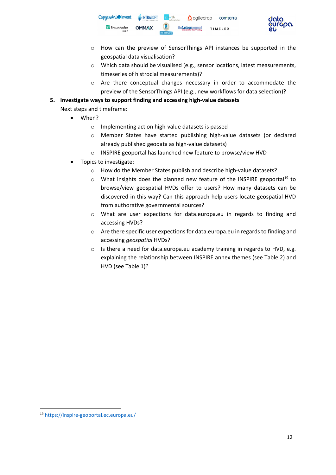Capgemini invent **III**I<sub>I</sub> INTRASOFT **A** ogiledrop contrerra Fraunhofer **OMMAX** the Lisboncounci **TIMELEX** 



- o How can the preview of SensorThings API instances be supported in the geospatial data visualisation?
- o Which data should be visualised (e.g., sensor locations, latest measurements, timeseries of histrocial measurements)?
- o Are there conceptual changes necessary in order to accommodate the preview of the SensorThings API (e.g., new workflows for data selection)?

#### **5. Investigate ways to support finding and accessing high-value datasets**

Next steps and timeframe:

- When?
	- o Implementing act on high-value datasets is passed
	- o Member States have started publishing high-value datasets (or declared already published geodata as high-value datasets)
	- o INSPIRE geoportal has launched new feature to browse/view HVD
- Topics to investigate:
	- o How do the Member States publish and describe high-value datasets?
	- $\circ$  What insights does the planned new feature of the INSPIRE geoportal<sup>[19](#page-11-0)</sup> to browse/view geospatial HVDs offer to users? How many datasets can be discovered in this way? Can this approach help users locate geospatial HVD from authorative governmental sources?
	- o What are user expections for data.europa.eu in regards to finding and accessing HVDs?
	- o Are there specific user expections for data.europa.eu in regards to finding and accessing *geospatial* HVDs?
	- o Is there a need for data.europa.eu academy training in regards to HVD, e.g. explaining the relationship between INSPIRE annex themes (see [Table 2\)](#page-8-0) and HVD (see [Table 1\)](#page-6-0)?

<span id="page-11-0"></span><sup>19</sup> <https://inspire-geoportal.ec.europa.eu/>